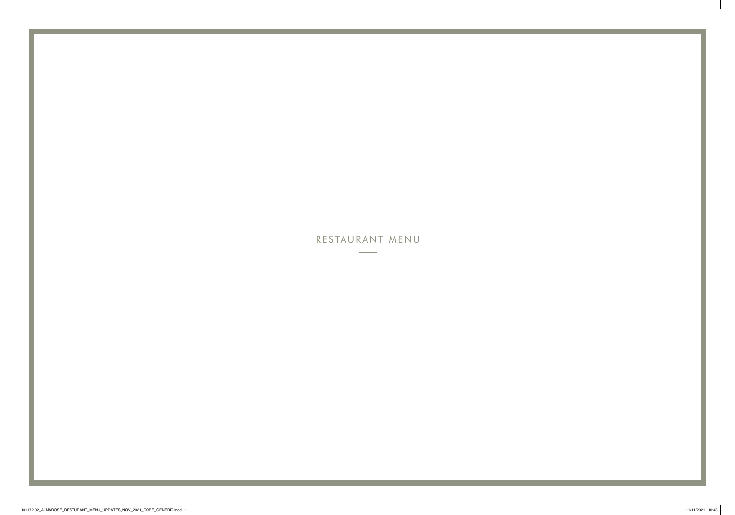# RESTAURANT MENU

 $\overline{\phantom{a}}$